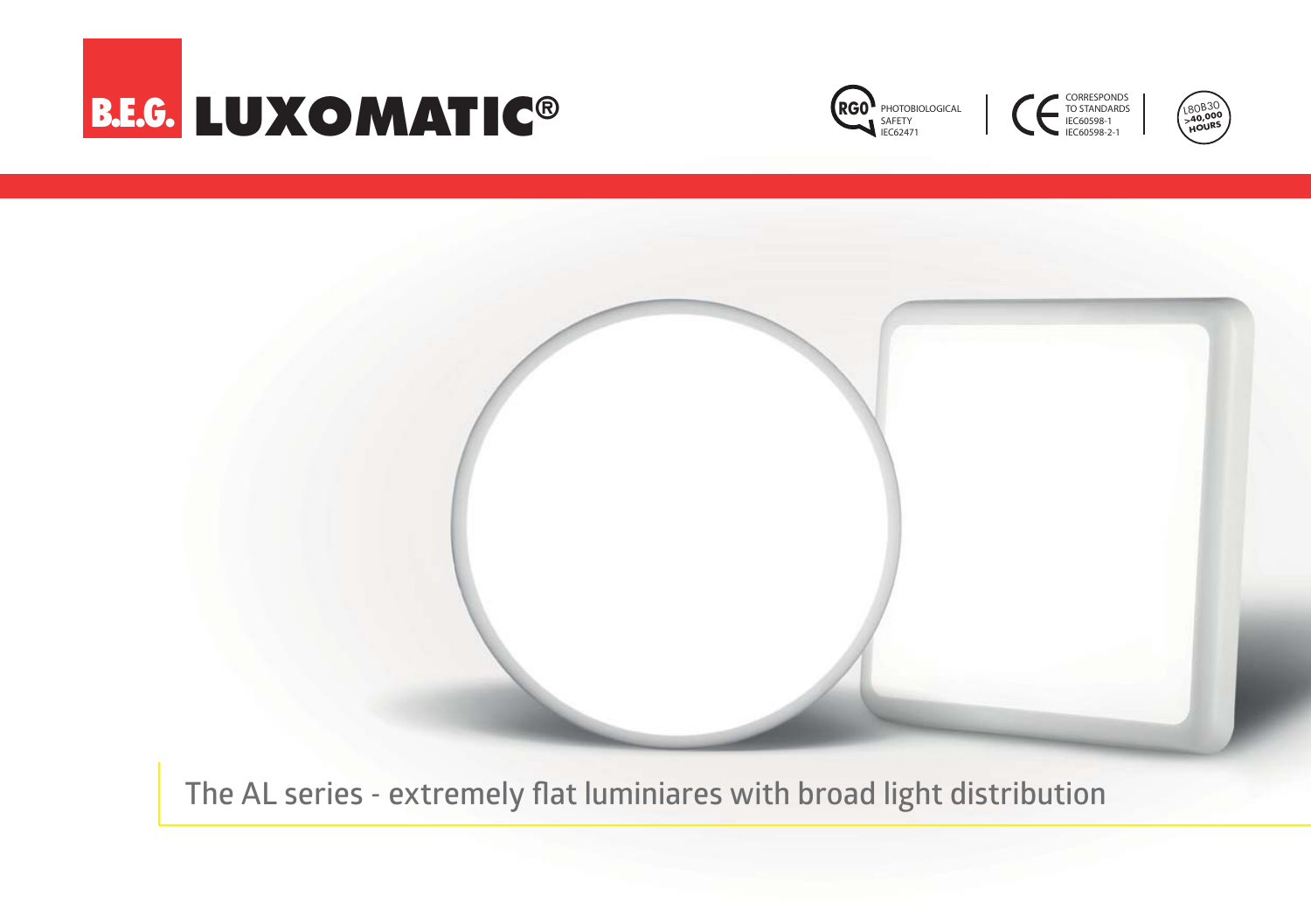



CORRESPONDS TO STANDARDS IEC60598-1 IEC60598-2-1





The AL series - extremely flat luminiares with broad light distribution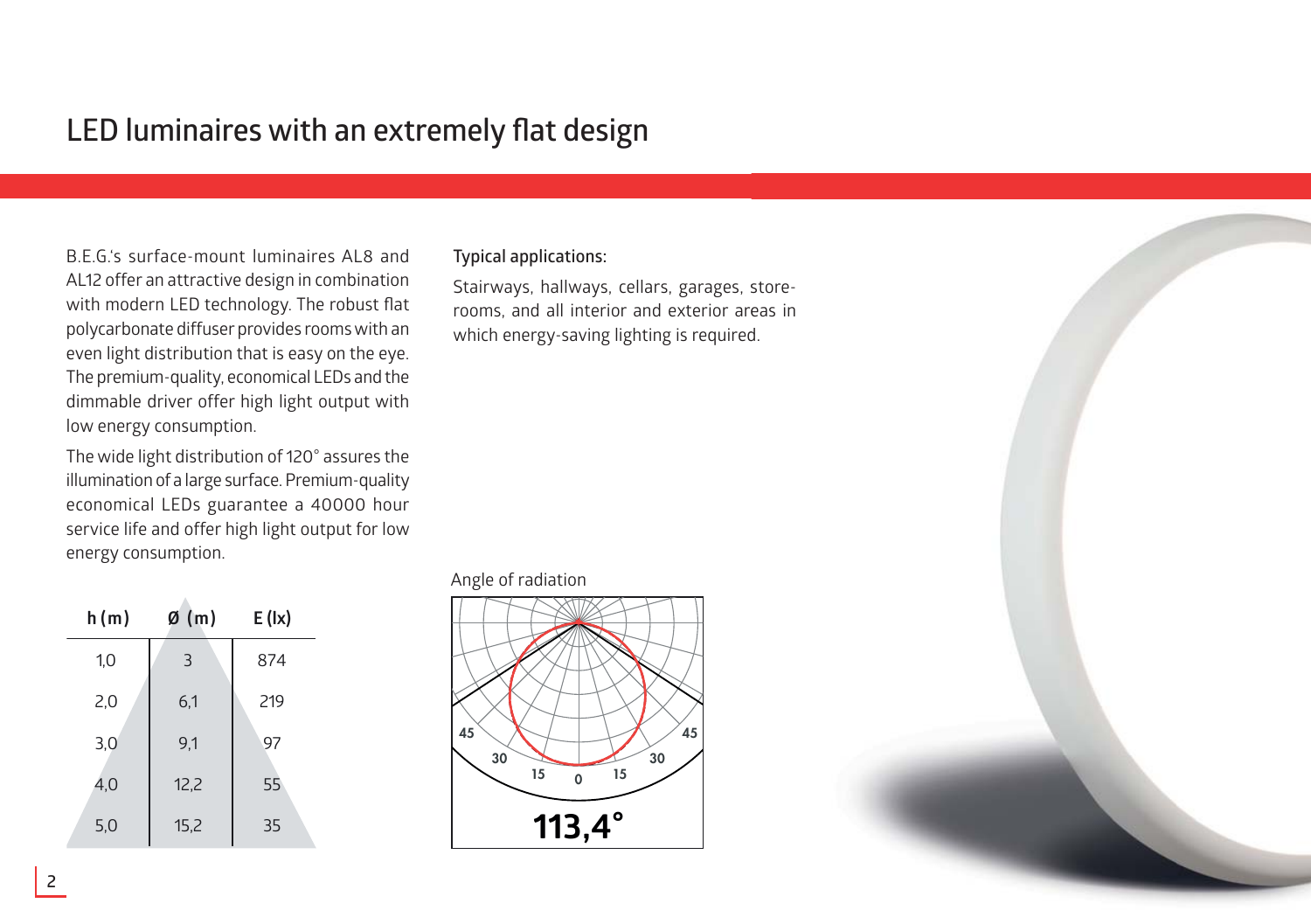# **LED luminaires with an extremely flat design**

B.E.G.'s surface-mount luminaires AL8 and AL12 offer an attractive design in combination with modern LED technology. The robust flat polycarbonate diffuser provides rooms with an even light distribution that is easy on the eye. The premium-quality, economical LEDs and the dimmable driver offer high light output with low energy consumption.

The wide light distribution of 120° assures the illumination of a large surface. Premium-quality economical LEDs guarantee a 40000 hour service life and offer high light output for low energy consumption.

| h(m) | Ø (m) | $E$ (lx) |
|------|-------|----------|
| 1,0  | 3     | 874      |
| 2,0  | 6,1   | 219      |
| 3,0  | 9,1   | 97       |
| 4,0  | 12,2  | 55       |
| 5,0  | 15,2  | 35       |

## **Typical applications:**

Stairways, hallways, cellars, garages, storerooms, and all interior and exterior areas in<br>which energy-saving lighting is required. which energy-saving lighting is required.

#### Angle of radiation



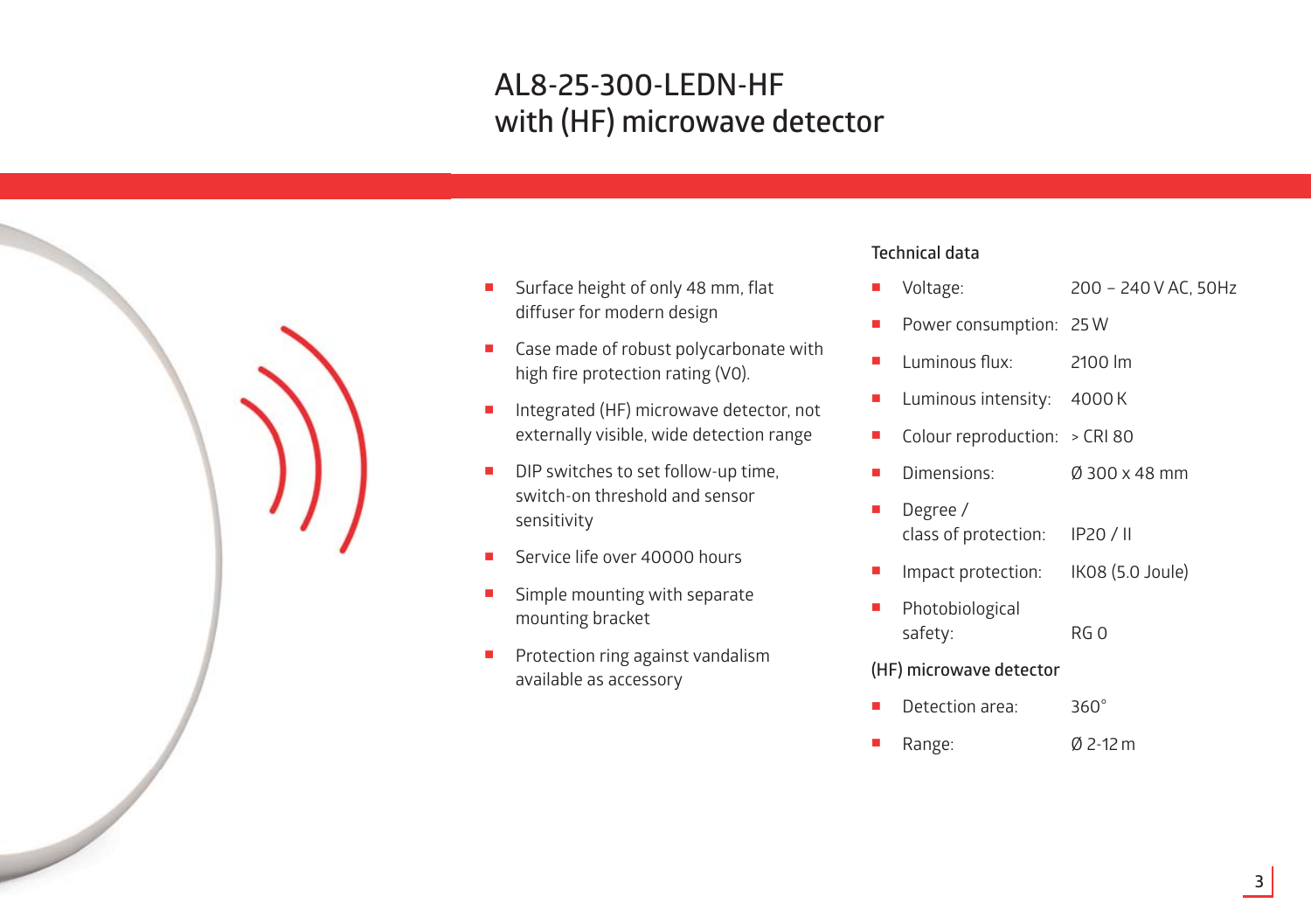# **AL8-25-300-LEDN-HF with (HF) microwave detector**



- Surface height of only 48 mm, flat diffuser for modern design
- Case made of robust polycarbonate with high fire protection rating (V0).
- Integrated (HF) microwave detector, not externally visible, wide detection range
- DIP switches to set follow-up time, switch-on threshold and sensor sensitivity
- Service life over 40000 hours
- Simple mounting with separate mounting bracket
- **Protection ring against vandalism** available as accessory

## **Technical data**

 Voltage: 200 – 240 V AC, 50Hz Power consumption: 25 W Luminous flux: 2100 lm Luminous intensity: 4000 K Colour reproduction: > CRI 80 Dimensions: Ø 300 x 48 mm Degree / class of protection: IP20 / II Impact protection: IK08 (5.0 Joule) Photobiological safety: RG 0 **(HF)** microwave detector Detection area: 360° Range: Ø 2-12 m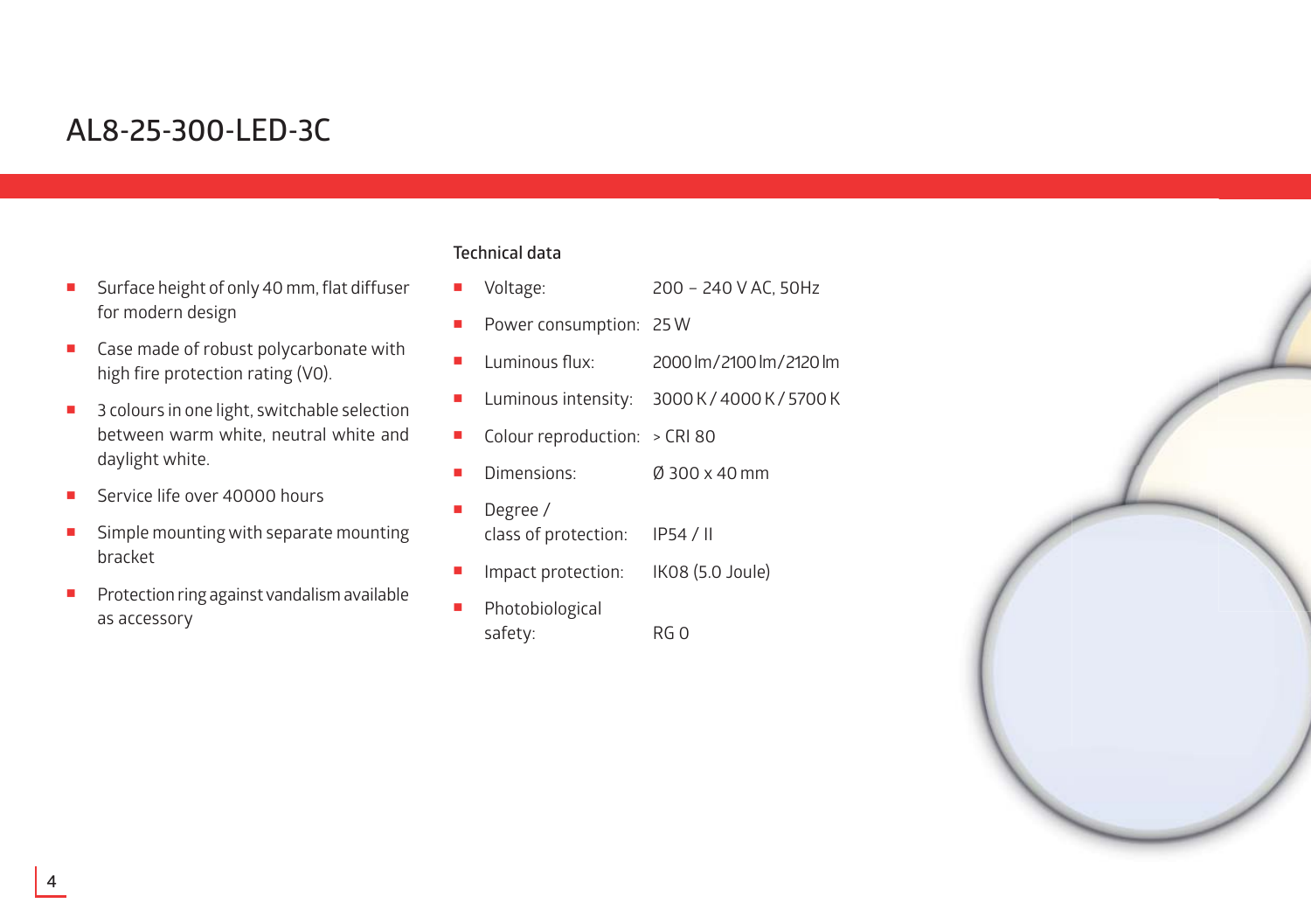# **AL8-25-300-LED-3C**

- **Surface height of only 40 mm, flat diffuser** for modern design
- Case made of robust polycarbonate with high fire protection rating (V0).
- 3 colours in one light, switchable selection between warm white, neutral white and daylight white.
- Service life over 40000 hours
- **Simple mounting with separate mounting** bracket
- Protection ring against vandalism available as accessory

## **Technical data**

- Voltage: 200 240 V AC, 50Hz
- Power consumption: 25 W
- $L$ uminous flux:  $2000 \, \text{Im}/2100 \, \text{Im}/2120 \, \text{Im}$
- Luminous intensity: 3000 K / 4000 K / 5700 K
- Colour reproduction: > CRI 80
- Dimensions: Ø 300 x 40 mm
- Degree / class of protection: IP54 / II
- Impact protection: IK08 (5.0 Joule)
- Photobiological safety: RG 0

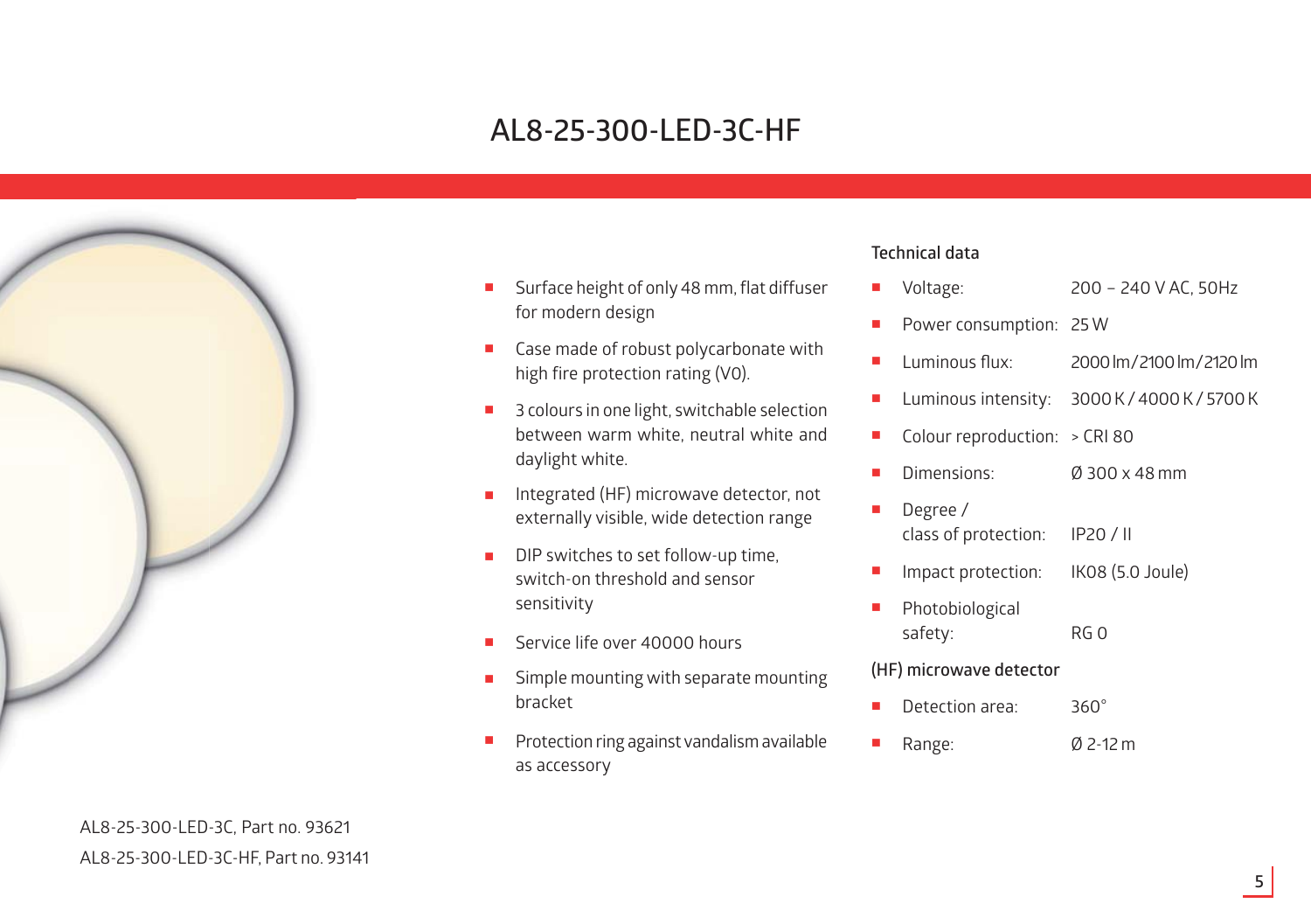# **AL8-25-300-LED-3C-HF**



## Surface height of only 48 mm, flat diffuser for modern design

- Case made of robust polycarbonate with high fire protection rating (V0).
- 3 colours in one light, switchable selection between warm white, neutral white and daylight white.
- Integrated (HF) microwave detector, not externally visible, wide detection range
- DIP switches to set follow-up time, switch-on threshold and sensor sensitivity
- Service life over 40000 hours
- **Simple mounting with separate mounting** bracket
- Protection ring against vandalism available as accessory

## Technical data

|   | Voltage:                                   | 200 - 240 V AC, 50Hz                         |
|---|--------------------------------------------|----------------------------------------------|
|   | Power consumption: 25 W                    |                                              |
|   | Luminous flux:                             | 2000 lm/2100 lm/2120 lm                      |
|   |                                            | Luminous intensity: 3000 K / 4000 K / 5700 K |
|   | Colour reproduction: $\rightarrow$ CRI 80  |                                              |
| ٠ | Dimensions:                                | Ø 300 x 48 mm                                |
|   | Degree /<br>class of protection: IP20 / II |                                              |
|   | Impact protection: IKO8 (5.0 Joule)        |                                              |
|   | Photobiological<br>safety:                 | RGO                                          |
|   | (HF) microwave detector                    |                                              |
|   | Detection area:                            | $360^\circ$                                  |

Range: Ø 2-12 m

AL8-25-300-LED-3C, Part no. 93621 AL8-25-300-LED-3C-HF, Part no. 93141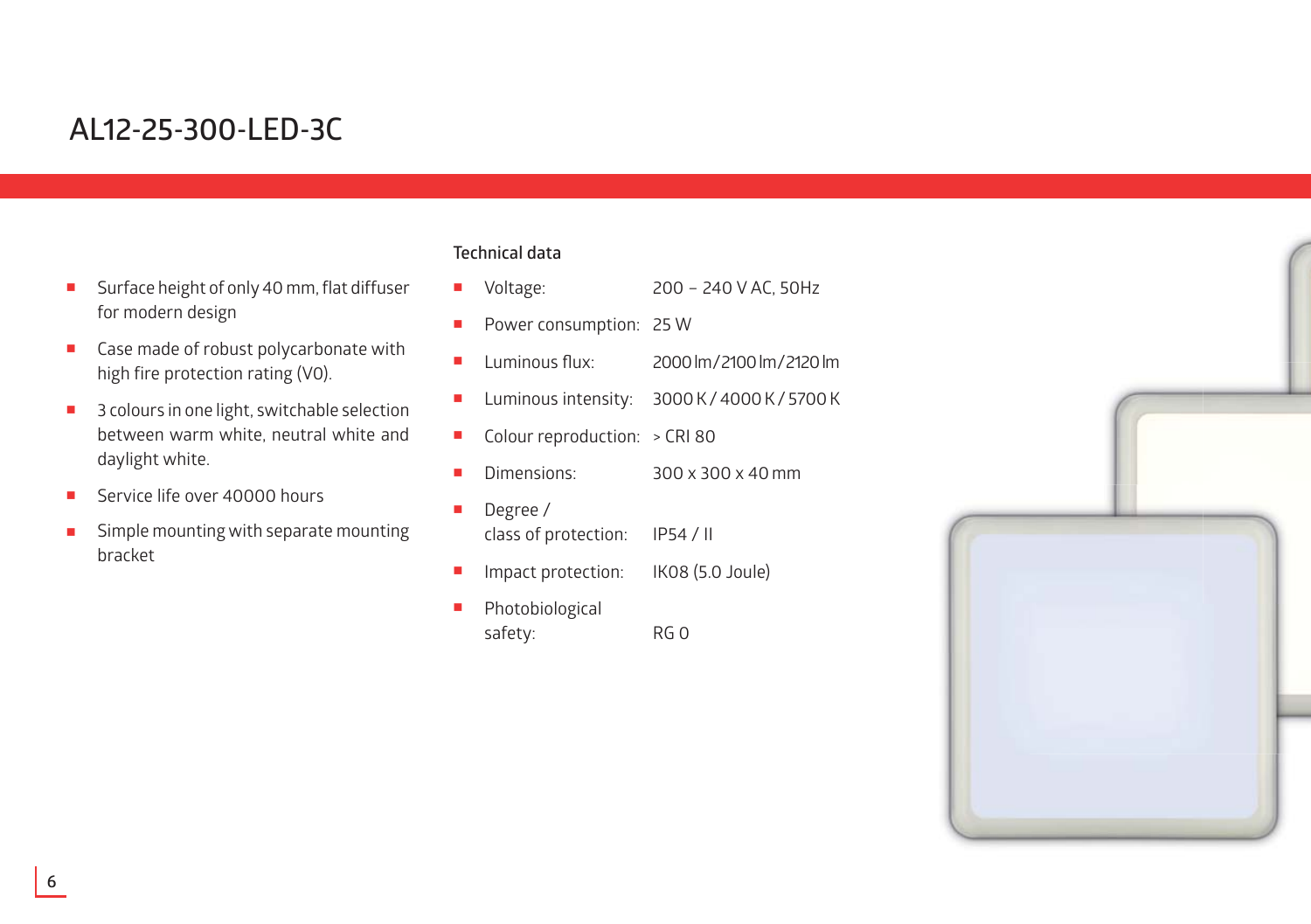# **AL12-25-300-LED-3C**

- **Surface height of only 40 mm, flat diffuser** for modern design
- Case made of robust polycarbonate with high fire protection rating (V0).
- 3 colours in one light, switchable selection between warm white, neutral white and daylight white.
- Service life over 40000 hours
- **Simple mounting with separate mounting** bracket

## **Technical data**

- Voltage: 200 240 V AC, 50Hz
- Power consumption: 25 W
- $L$ uminous flux:  $2000 \, \text{Im}/2100 \, \text{Im}/2120 \, \text{Im}$
- Luminous intensity: 3000 K / 4000 K / 5700 K
- Colour reproduction: > CRI 80
- Dimensions: 300 x 300 x 40 mm
- Degree / class of protection: IP54 / II
- Impact protection: IK08 (5.0 Joule)
- Photobiological safety: RG 0

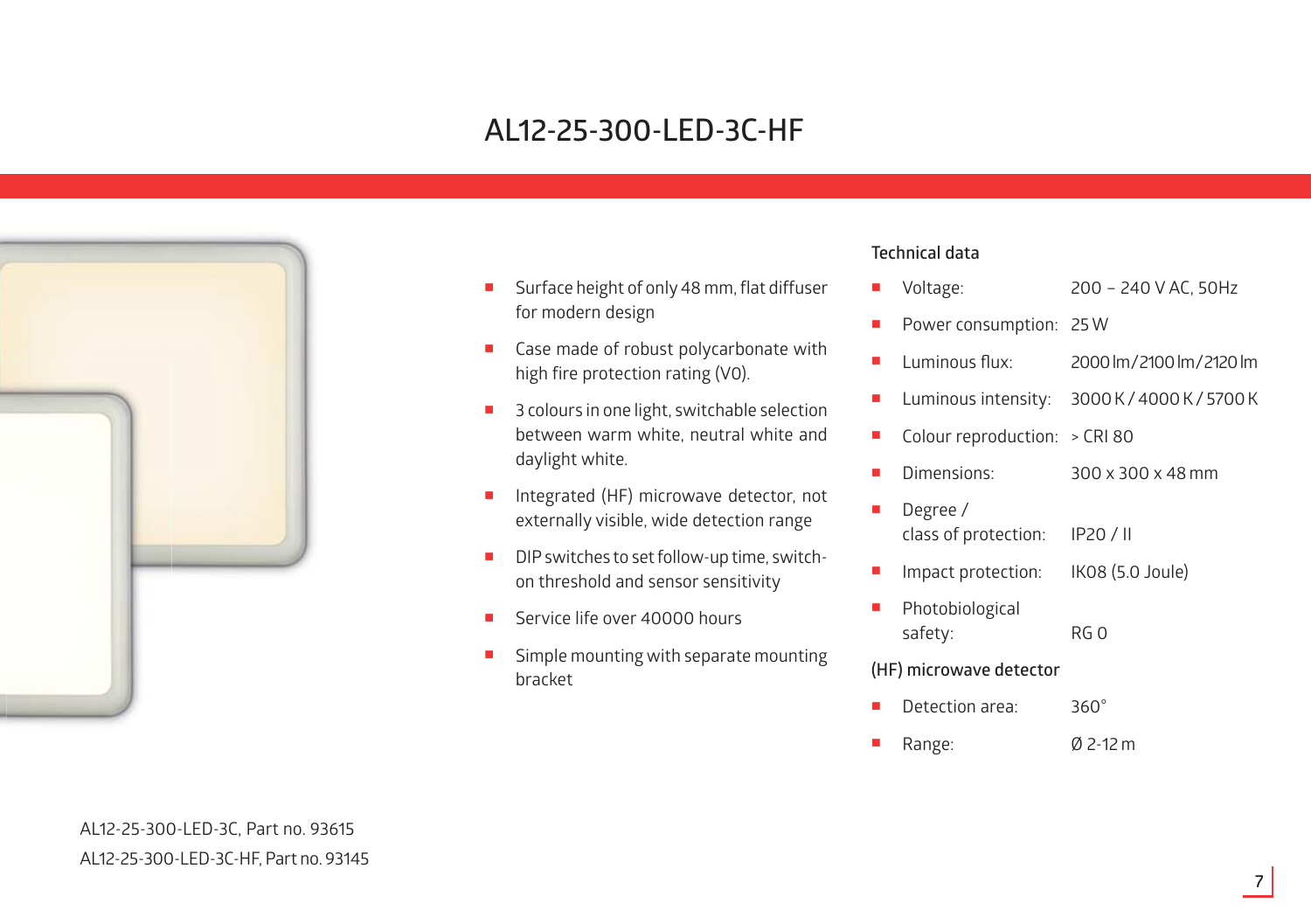# **AL12-25-300-LED-3C-HF**



- **Surface height of only 48 mm, flat diffuser** for modern design
- Case made of robust polycarbonate with high fire protection rating (V0).
- 3 colours in one light, switchable selection between warm white, neutral white and daylight white.
- Integrated (HF) microwave detector, not externally visible, wide detection range
- DIP switches to set follow-up time, switchon threshold and sensor sensitivity
- Service life over 40000 hours
- **Simple mounting with separate mounting** bracket

## Technical data

|   | Voltage:                                   | 200 - 240 V AC, 50Hz                  |
|---|--------------------------------------------|---------------------------------------|
| ٠ | Power consumption: 25 W                    |                                       |
| п | Luminous flux:                             | 2000 lm/2100 lm/2120 lm               |
| ٠ |                                            | Luminous intensity: 3000K/4000K/5700K |
| ٠ | Colour reproduction: > CRI 80              |                                       |
| ٠ | Dimensions:                                | 300 x 300 x 48 mm                     |
| ٠ | Degree /<br>class of protection: IP20 / II |                                       |
| ٠ | Impact protection: IKO8 (5.0 Joule)        |                                       |
| ٠ | Photobiological<br>safety:                 | RG 0                                  |
|   | (HF) microwave detector                    |                                       |
|   | Detection area:                            | $360^\circ$                           |

Range: Ø 2-12 m